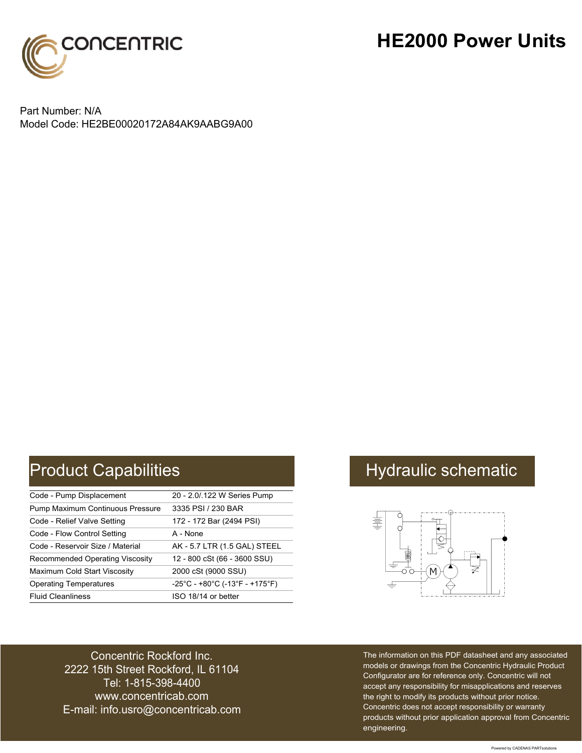

## **HE2000 Power Units**

Part Number: N/A Model Code: HE2BE00020172A84AK9AABG9A00

# Product Capabilities **Hydraulic schematic** Hydraulic schematic

| Code - Pump Displacement               | 20 - 2.0/.122 W Series Pump    |
|----------------------------------------|--------------------------------|
| Pump Maximum Continuous Pressure       | 3335 PSI / 230 BAR             |
| Code - Relief Valve Setting            | 172 - 172 Bar (2494 PSI)       |
| Code - Flow Control Setting            | A - None                       |
| Code - Reservoir Size / Material       | AK - 5.7 LTR (1.5 GAL) STEEL   |
| <b>Recommended Operating Viscosity</b> | 12 - 800 cSt (66 - 3600 SSU)   |
| Maximum Cold Start Viscosity           | 2000 cSt (9000 SSU)            |
| <b>Operating Temperatures</b>          | -25°C - +80°C (-13°F - +175°F) |
| <b>Fluid Cleanliness</b>               | ISO 18/14 or better            |



Concentric Rockford Inc. 2222 15th Street Rockford, IL 61104 Tel: 1-815-398-4400 [www.concentricab.com](www.concentrichydraulics.com) E-mail: [info.usro@concentrica](mailto://info.usro@concentricab.com)b.com The information on this PDF datasheet and any associated models or drawings from the Concentric Hydraulic Product Configurator are for reference only. Concentric will not accept any responsibility for misapplications and reserves the right to modify its products without prior notice. Concentric does not accept responsibility or warranty products without prior application approval from Concentric engineering.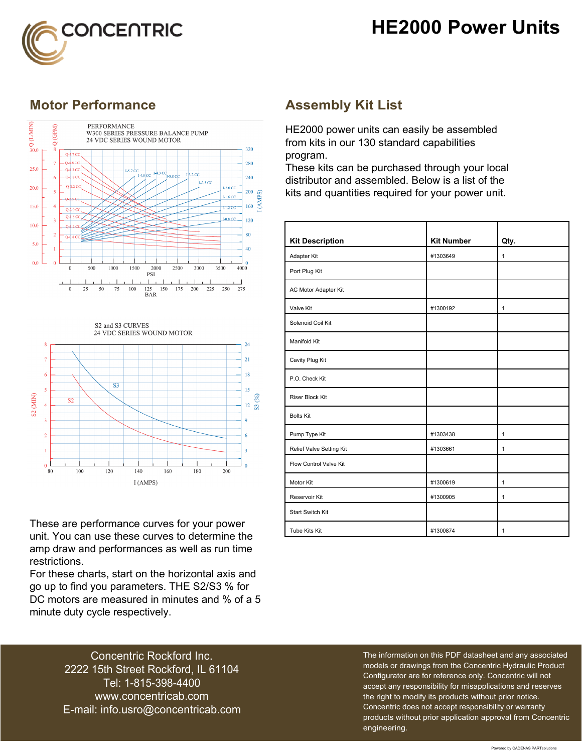



### **Motor Performance Assembly Kit List**





These are performance curves for your power unit. You can use these curves to determine the amp draw and performances as well as run time restrictions.

For these charts, start on the horizontal axis and go up to find you parameters. THE S2/S3 % for DC motors are measured in minutes and % of a 5 minute duty cycle respectively.

HE2000 power units can easily be assembled from kits in our 130 standard capabilities program.

These kits can be purchased through your local distributor and assembled. Below is a list of the kits and quantities required for your power unit.

| <b>Kit Description</b>   | <b>Kit Number</b> | Qty.         |
|--------------------------|-------------------|--------------|
| Adapter Kit              | #1303649          | $\mathbf{1}$ |
| Port Plug Kit            |                   |              |
| AC Motor Adapter Kit     |                   |              |
| Valve Kit                | #1300192          | $\mathbf{1}$ |
| Solenoid Coil Kit        |                   |              |
| Manifold Kit             |                   |              |
| Cavity Plug Kit          |                   |              |
| P.O. Check Kit           |                   |              |
| <b>Riser Block Kit</b>   |                   |              |
| <b>Bolts Kit</b>         |                   |              |
| Pump Type Kit            | #1303438          | 1            |
| Relief Valve Setting Kit | #1303661          | 1            |
| Flow Control Valve Kit   |                   |              |
| Motor Kit                | #1300619          | $\mathbf{1}$ |
| Reservoir Kit            | #1300905          | $\mathbf{1}$ |
| <b>Start Switch Kit</b>  |                   |              |
| Tube Kits Kit            | #1300874          | 1            |

Concentric Rockford Inc. 2222 15th Street Rockford, IL 61104 Tel: 1-815-398-4400 [www.concentricab.com](www.concentrichydraulics.com) E-mail: [info.usro@concentrica](mailto://info.usro@concentricab.com)b.com The information on this PDF datasheet and any associated models or drawings from the Concentric Hydraulic Product Configurator are for reference only. Concentric will not accept any responsibility for misapplications and reserves the right to modify its products without prior notice. Concentric does not accept responsibility or warranty products without prior application approval from Concentric engineering.